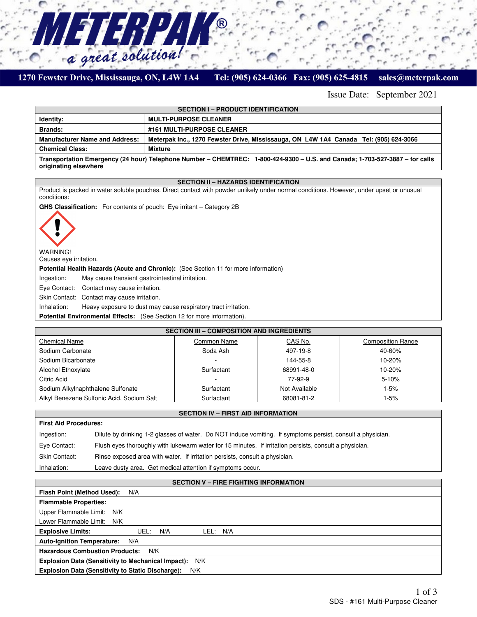

a great solution!

7777

#### Tel: (905) 624-0366 Fax: (905) 625-4815

Issue Date: September 2021

sales@meterpak.com

| <b>SECTION I - PRODUCT IDENTIFICATION</b>                                                                                                             |                                                                                       |  |  |  |
|-------------------------------------------------------------------------------------------------------------------------------------------------------|---------------------------------------------------------------------------------------|--|--|--|
| Identity:                                                                                                                                             | <b>MULTI-PURPOSE CLEANER</b>                                                          |  |  |  |
| <b>Brands:</b>                                                                                                                                        | #161 MULTI-PURPOSE CLEANER                                                            |  |  |  |
| <b>Manufacturer Name and Address:</b>                                                                                                                 | Meterpak Inc., 1270 Fewster Drive, Mississauga, ON L4W 1A4 Canada Tel: (905) 624-3066 |  |  |  |
| <b>Chemical Class:</b>                                                                                                                                | Mixture                                                                               |  |  |  |
| Transportation Emergency (24 hour) Telephone Number – CHEMTREC: 1-800-424-9300 – U.S. and Canada; 1-703-527-3887 – for calls<br>originating elsewhere |                                                                                       |  |  |  |

# **SECTION II – HAZARDS IDENTIFICATION**

Product is packed in water soluble pouches. Direct contact with powder unlikely under normal conditions. However, under upset or unusual conditions:

**GHS Classification:** For contents of pouch: Eye irritant – Category 2B



WARNING!

Causes eye irritation.

**Potential Health Hazards (Acute and Chronic):** (See Section 11 for more information)

Ingestion: May cause transient gastrointestinal irritation.

Eye Contact: Contact may cause irritation.

Skin Contact: Contact may cause irritation.

Inhalation: Heavy exposure to dust may cause respiratory tract irritation.

**Potential Environmental Effects:** (See Section 12 for more information).

| <b>SECTION III - COMPOSITION AND INGREDIENTS</b> |             |               |                          |  |  |
|--------------------------------------------------|-------------|---------------|--------------------------|--|--|
| <b>Chemical Name</b>                             | Common Name | CAS No.       | <b>Composition Range</b> |  |  |
| Sodium Carbonate                                 | Soda Ash    | 497-19-8      | 40-60%                   |  |  |
| Sodium Bicarbonate                               |             | 144-55-8      | $10 - 20%$               |  |  |
| <b>Alcohol Ethoxylate</b>                        | Surfactant  | 68991-48-0    | $10 - 20%$               |  |  |
| Citric Acid                                      |             | 77-92-9       | $5 - 10%$                |  |  |
| Sodium Alkylnaphthalene Sulfonate                | Surfactant  | Not Available | 1-5%                     |  |  |
| Alkyl Benezene Sulfonic Acid, Sodium Salt        | Surfactant  | 68081-81-2    | 1-5%                     |  |  |

# **SECTION IV – FIRST AID INFORMATION**

| <b>First Aid Procedures:</b> |                                                                                                            |  |  |  |
|------------------------------|------------------------------------------------------------------------------------------------------------|--|--|--|
| Ingestion:                   | Dilute by drinking 1-2 glasses of water. Do NOT induce vomiting. If symptoms persist, consult a physician. |  |  |  |
| Eye Contact:                 | Flush eyes thoroughly with lukewarm water for 15 minutes. If irritation persists, consult a physician.     |  |  |  |
| <b>Skin Contact:</b>         | Rinse exposed area with water. If irritation persists, consult a physician.                                |  |  |  |
| Inhalation:                  | Leave dusty area. Get medical attention if symptoms occur.                                                 |  |  |  |

# **SECTION V – FIRE FIGHTING INFORMATION**

| Flash Point (Method Used):<br>N/A                               |  |  |  |  |
|-----------------------------------------------------------------|--|--|--|--|
| <b>Flammable Properties:</b>                                    |  |  |  |  |
| Upper Flammable Limit: N/K                                      |  |  |  |  |
| Lower Flammable Limit: N/K                                      |  |  |  |  |
| <b>Explosive Limits:</b><br>N/A<br>LEL: N/A<br>UEL:             |  |  |  |  |
| <b>Auto-Ignition Temperature:</b><br>N/A                        |  |  |  |  |
| <b>Hazardous Combustion Products:</b><br>N/K                    |  |  |  |  |
| Explosion Data (Sensitivity to Mechanical Impact): N/K          |  |  |  |  |
| <b>Explosion Data (Sensitivity to Static Discharge):</b><br>N/K |  |  |  |  |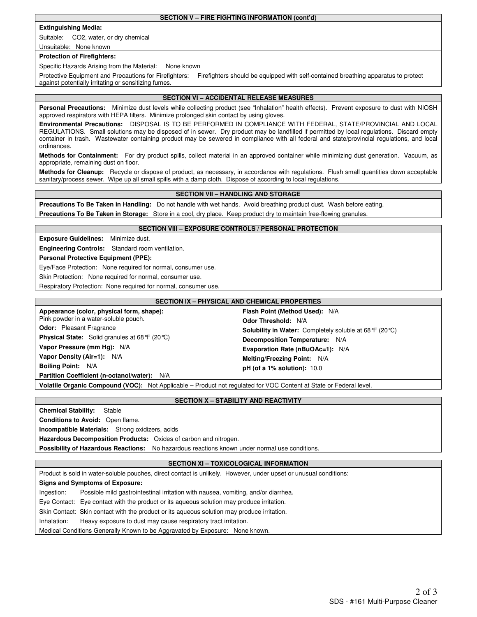**SECTION V – FIRE FIGHTING INFORMATION (cont'd)**

# **Extinguishing Media:**

Suitable: CO2, water, or dry chemical

#### Unsuitable: None known

#### **Protection of Firefighters:**

Specific Hazards Arising from the Material: None known

Protective Equipment and Precautions for Firefighters: Firefighters should be equipped with self-contained breathing apparatus to protect against potentially irritating or sensitizing fumes.

# **SECTION VI – ACCIDENTAL RELEASE MEASURES**

Personal Precautions: Minimize dust levels while collecting product (see "Inhalation" health effects). Prevent exposure to dust with NIOSH approved respirators with HEPA filters. Minimize prolonged skin contact by using gloves.

**Environmental Precautions:** DISPOSAL IS TO BE PERFORMED IN COMPLIANCE WITH FEDERAL, STATE/PROVINCIAL AND LOCAL REGULATIONS. Small solutions may be disposed of in sewer. Dry product may be landfilled if permitted by local regulations. Discard empty container in trash. Wastewater containing product may be sewered in compliance with all federal and state/provincial regulations, and local ordinances.

**Methods for Containment:** For dry product spills, collect material in an approved container while minimizing dust generation. Vacuum, as appropriate, remaining dust on floor.

**Methods for Cleanup:** Recycle or dispose of product, as necessary, in accordance with regulations. Flush small quantities down acceptable sanitary/process sewer. Wipe up all small spills with a damp cloth. Dispose of according to local regulations.

# **SECTION VII – HANDLING AND STORAGE**

**Precautions To Be Taken in Handling:** Do not handle with wet hands. Avoid breathing product dust. Wash before eating. **Precautions To Be Taken in Storage:** Store in a cool, dry place. Keep product dry to maintain free-flowing granules.

#### **SECTION VIII – EXPOSURE CONTROLS / PERSONAL PROTECTION**

**Exposure Guidelines:** Minimize dust.

**Engineering Controls:** Standard room ventilation.

**Personal Protective Equipment (PPE):** 

Eye/Face Protection: None required for normal, consumer use.

Skin Protection: None required for normal, consumer use.

Respiratory Protection: None required for normal, consumer use.

# **SECTION IX – PHYSICAL AND CHEMICAL PROPERTIES**

**Appearance (color, physical form, shape):**  Pink powder in a water-soluble pouch. **Odor:** Pleasant Fragrance **Physical State:** Solid granules at 68°F (20°C) **Vapor Pressure (mm Hg):** N/A **Vapor Density (Air=1):** N/A

**Flash Point (Method Used):** N/A **Odor Threshold:** N/A **Solubility in Water:** Completely soluble at 68°F (20°C) **Decomposition Temperature:** N/A **Evaporation Rate (nBuOAc=1):** N/A **Melting/Freezing Point:** N/A **pH (of a 1% solution):** 10.0

**Partition Coefficient (n-octanol/water):** N/A

**Volatile Organic Compound (VOC):** Not Applicable – Product not regulated for VOC Content at State or Federal level.

#### **SECTION X – STABILITY AND REACTIVITY**

**Chemical Stability:** Stable

**Boiling Point:** N/A

**Conditions to Avoid:** Open flame.

**Incompatible Materials:** Strong oxidizers, acids

**Hazardous Decomposition Products:** Oxides of carbon and nitrogen.

**Possibility of Hazardous Reactions:** No hazardous reactions known under normal use conditions.

#### **SECTION XI – TOXICOLOGICAL INFORMATION**

Product is sold in water-soluble pouches, direct contact is unlikely. However, under upset or unusual conditions:

# **Signs and Symptoms of Exposure:**

Ingestion: Possible mild gastrointestinal irritation with nausea, vomiting, and/or diarrhea.

Eye Contact: Eye contact with the product or its aqueous solution may produce irritation.

Skin Contact: Skin contact with the product or its aqueous solution may produce irritation.

Inhalation: Heavy exposure to dust may cause respiratory tract irritation.

Medical Conditions Generally Known to be Aggravated by Exposure: None known.